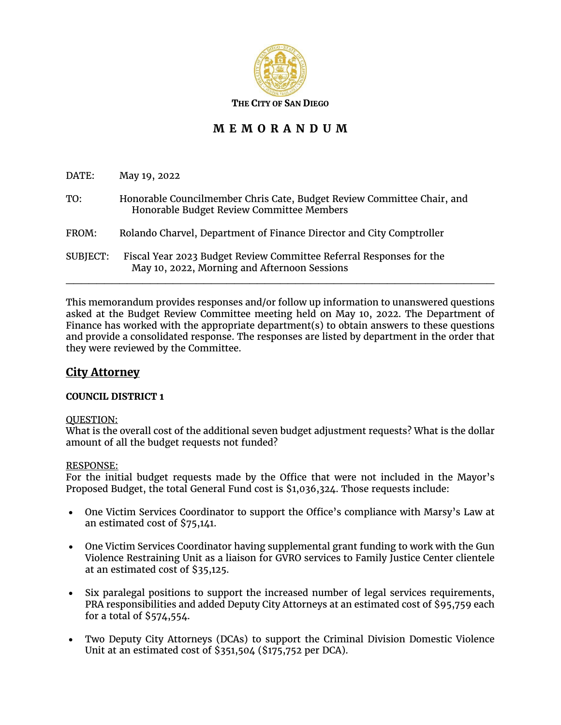

# **M E M O R A N D U M**

| DATE:           | May 19, 2022                                                                                                        |
|-----------------|---------------------------------------------------------------------------------------------------------------------|
| TO:             | Honorable Councilmember Chris Cate, Budget Review Committee Chair, and<br>Honorable Budget Review Committee Members |
| FROM:           | Rolando Charvel, Department of Finance Director and City Comptroller                                                |
| <b>SUBJECT:</b> | Fiscal Year 2023 Budget Review Committee Referral Responses for the<br>May 10, 2022, Morning and Afternoon Sessions |

This memorandum provides responses and/or follow up information to unanswered questions asked at the Budget Review Committee meeting held on May 10, 2022. The Department of Finance has worked with the appropriate department(s) to obtain answers to these questions and provide a consolidated response. The responses are listed by department in the order that they were reviewed by the Committee.

# **City Attorney**

## **COUNCIL DISTRICT 1**

#### QUESTION:

What is the overall cost of the additional seven budget adjustment requests? What is the dollar amount of all the budget requests not funded?

#### RESPONSE:

For the initial budget requests made by the Office that were not included in the Mayor's Proposed Budget, the total General Fund cost is \$1,036,324. Those requests include:

- One Victim Services Coordinator to support the Office's compliance with Marsy's Law at an estimated cost of \$75,141.
- One Victim Services Coordinator having supplemental grant funding to work with the Gun Violence Restraining Unit as a liaison for GVRO services to Family Justice Center clientele at an estimated cost of \$35,125.
- Six paralegal positions to support the increased number of legal services requirements, PRA responsibilities and added Deputy City Attorneys at an estimated cost of \$95,759 each for a total of \$574,554.
- Two Deputy City Attorneys (DCAs) to support the Criminal Division Domestic Violence Unit at an estimated cost of \$351,504 (\$175,752 per DCA).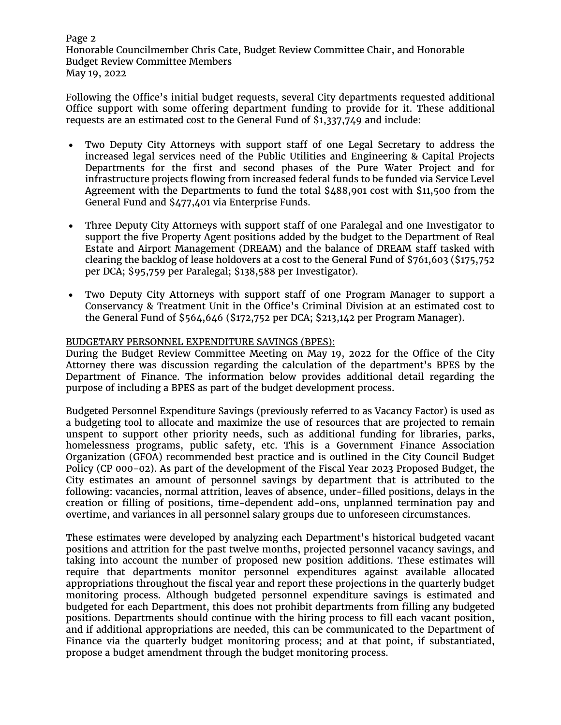Page 2 Honorable Councilmember Chris Cate, Budget Review Committee Chair, and Honorable Budget Review Committee Members May 19, 2022

Following the Office's initial budget requests, several City departments requested additional Office support with some offering department funding to provide for it. These additional requests are an estimated cost to the General Fund of \$1,337,749 and include:

- Two Deputy City Attorneys with support staff of one Legal Secretary to address the increased legal services need of the Public Utilities and Engineering & Capital Projects Departments for the first and second phases of the Pure Water Project and for infrastructure projects flowing from increased federal funds to be funded via Service Level Agreement with the Departments to fund the total \$488,901 cost with \$11,500 from the General Fund and \$477,401 via Enterprise Funds.
- Three Deputy City Attorneys with support staff of one Paralegal and one Investigator to support the five Property Agent positions added by the budget to the Department of Real Estate and Airport Management (DREAM) and the balance of DREAM staff tasked with clearing the backlog of lease holdovers at a cost to the General Fund of \$761,603 (\$175,752 per DCA; \$95,759 per Paralegal; \$138,588 per Investigator).
- Two Deputy City Attorneys with support staff of one Program Manager to support a Conservancy & Treatment Unit in the Office's Criminal Division at an estimated cost to the General Fund of \$564,646 (\$172,752 per DCA; \$213,142 per Program Manager).

### BUDGETARY PERSONNEL EXPENDITURE SAVINGS (BPES):

During the Budget Review Committee Meeting on May 19, 2022 for the Office of the City Attorney there was discussion regarding the calculation of the department's BPES by the Department of Finance. The information below provides additional detail regarding the purpose of including a BPES as part of the budget development process.

Budgeted Personnel Expenditure Savings (previously referred to as Vacancy Factor) is used as a budgeting tool to allocate and maximize the use of resources that are projected to remain unspent to support other priority needs, such as additional funding for libraries, parks, homelessness programs, public safety, etc. This is a Government Finance Association Organization (GFOA) recommended best practice and is outlined in the City Council Budget Policy (CP 000-02). As part of the development of the Fiscal Year 2023 Proposed Budget, the City estimates an amount of personnel savings by department that is attributed to the following: vacancies, normal attrition, leaves of absence, under-filled positions, delays in the creation or filling of positions, time-dependent add-ons, unplanned termination pay and overtime, and variances in all personnel salary groups due to unforeseen circumstances.

These estimates were developed by analyzing each Department's historical budgeted vacant positions and attrition for the past twelve months, projected personnel vacancy savings, and taking into account the number of proposed new position additions. These estimates will require that departments monitor personnel expenditures against available allocated appropriations throughout the fiscal year and report these projections in the quarterly budget monitoring process. Although budgeted personnel expenditure savings is estimated and budgeted for each Department, this does not prohibit departments from filling any budgeted positions. Departments should continue with the hiring process to fill each vacant position, and if additional appropriations are needed, this can be communicated to the Department of Finance via the quarterly budget monitoring process; and at that point, if substantiated, propose a budget amendment through the budget monitoring process.